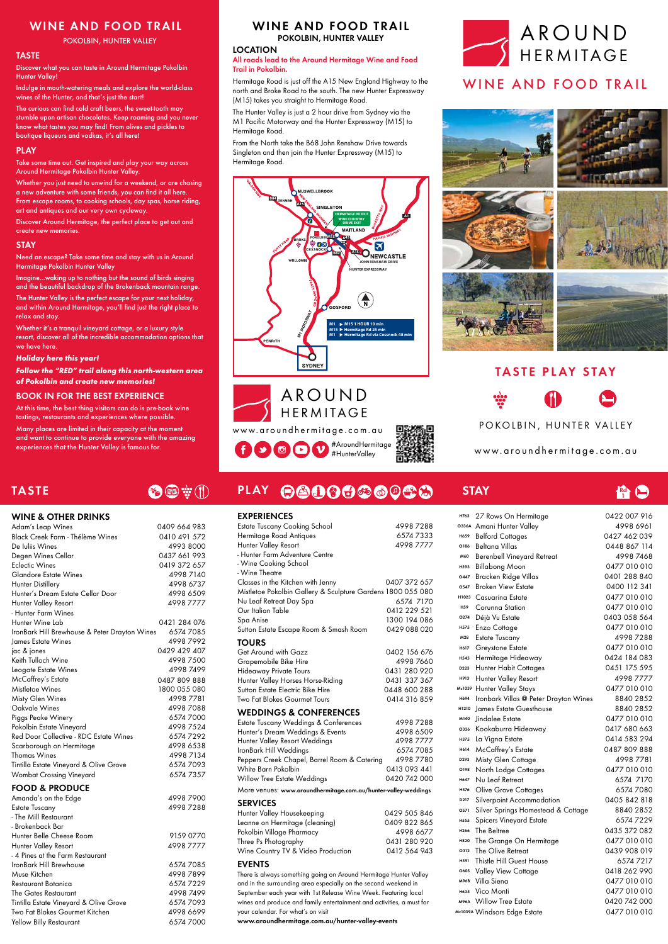### TASTE

WINE & OTHER DRINKS

## 多四辛川

#### **EXPERIENCES**

 $\bigoplus$   $\bigcirc$   $\bigcirc$   $\bigcirc$ 

- Hunter Farm Wines

Hunter Wine Lab 0421 284 076 IronBark Hill Brewhouse & Peter Drayton Wines 6574 7085 James Estate Wines **4998 7992** jac & jones 0429 429 407 Keith Tulloch Wine 4998 7500 Leogate Estate Wines 4998 7499 McCaffrey's Estate 0487 809 888 Mistletoe Wines 1800 055 080 Misty Glen Wines 4998 7781 Oakvale Wines 4998 7088

| Piggs Peake Winery                     | 6574 7000 |  |  |
|----------------------------------------|-----------|--|--|
| Pokolbin Estate Vineyard               | 49987524  |  |  |
| Red Door Collective - RDC Estate Wines | 65747292  |  |  |
| Scarborough on Hermitage               | 4998 6538 |  |  |
| <b>Thomas Wines</b>                    | 4998 7134 |  |  |
| Tintilla Estate Vineyard & Olive Grove | 6574 7093 |  |  |
| Wombat Crossing Vineyard               | 6574 7357 |  |  |
| <b>FOOD &amp; PRODUCE</b>              |           |  |  |

| Amanda's on the Edge                   | 49987900  |
|----------------------------------------|-----------|
| <b>Estate Tuscany</b>                  | 49987288  |
| - The Mill Restaurant                  |           |
| - Brokenback Bar                       |           |
| Hunter Belle Cheese Room               | 9159 0770 |
| Hunter Valley Resort                   | 49987777  |
| - 4 Pines at the Farm Restaurant       |           |
| IronBark Hill Brewhouse                | 6574 7085 |
| Muse Kitchen                           | 49987899  |
| Restaurant Botanica                    | 65747229  |
| The Gates Restaurant                   | 49987499  |
| Tintilla Estate Vineyard & Olive Grove | 6574 7093 |
| Two Fat Blokes Gourmet Kitchen         | 4998 6699 |
| Yellow Billy Restaurant                | 6574 7000 |

PLAY

| LAFLNILIYULJ                                                |              |  |
|-------------------------------------------------------------|--------------|--|
| <b>Estate Tuscany Cooking School</b>                        | 49987288     |  |
| Hermitage Road Antiques                                     | 65747333     |  |
| Hunter Valley Resort                                        | 49987777     |  |
| - Hunter Farm Adventure Centre                              |              |  |
| - Wine Cooking School                                       |              |  |
| - Wine Theatre                                              |              |  |
| Classes in the Kitchen with Jenny                           | 0407 372 657 |  |
| Mistletoe Pokolbin Gallery & Sculpture Gardens 1800 055 080 |              |  |
| Nu Leaf Retreat Day Spa                                     | 6574 7170    |  |
| Our Italian Table                                           | 0412 229 521 |  |
| Spa Anise                                                   | 1300 194 086 |  |
| Sutton Estate Escape Room & Smash Room                      | 0429 088 020 |  |
| <b>TOURS</b>                                                |              |  |
| Get Around with Gazz                                        | 0402 156 676 |  |
| Grapemobile Bike Hire                                       | 4998 7660    |  |
| <b>Hideaway Private Tours</b>                               | 0431 280 920 |  |
| Hunter Valley Horses Horse-Riding                           | 0431 337 367 |  |
| Sutton Estate Electric Bike Hire                            | 0448 600 288 |  |
| <b>Two Fat Blokes Gourmet Tours</b>                         | 0414 316 859 |  |
|                                                             |              |  |

WEDDINGS & CONFERENCES

# 0403 058 564 Hunter Valley Stays 0477 010 010 Mc1039 H694 Ironbark Villas @ Peter Drayton Wines 8840 2852 James Estate Guesthouse 8840 2852 H1210

<u>ደብ</u><br>|



| <b>Estate Tuscany Weddings &amp; Conferences</b> | 49987288     |
|--------------------------------------------------|--------------|
| Hunter's Dream Weddings & Events                 | 4998 6509    |
| Hunter Valley Resort Weddings                    | 4998 7777    |
| IronBark Hill Weddings                           | 6574 7085    |
| Peppers Creek Chapel, Barrel Room & Catering     | 49987780     |
| White Barn Pokolbin                              | 0413 093 441 |
| <b>Willow Tree Estate Weddings</b>               | 0420 742 000 |
|                                                  |              |

**STAY** 

More venues: www.aroundhermitage.com.au/hunter-valley-weddings

#### SERVICES

| Hunter Valley Housekeeping         | 0429 505 846 |
|------------------------------------|--------------|
| Leanne on Hermitage (cleaning)     | 0409 822 865 |
| Pokolbin Village Pharmacy          | 4998 6677    |
| Three Ps Photography               | 0431 280 920 |
| Wine Country TV & Video Production | 0412 564 943 |
|                                    |              |

#### EVENTS

There is always something going on Around Hermitage Hunter Valley and in the surrounding area especially on the second weekend in September each year with 1st Release Wine Week. Featuring local wines and produce and family entertainment and activities, a must for your calendar. For what's on visit www.aroundhermitage.com.au/hunter-valley-events



| M140        | Jindalee Estate                    | 0477 010 010 |
|-------------|------------------------------------|--------------|
| O336        | Kookaburra Hideaway                | 0417 680 663 |
| H375        | La Vigna Estate                    | 0414 583 294 |
| H614        | McCaffrey's Estate                 | 0487809888   |
| D293        | Misty Glen Cottage                 | 4998 7781    |
| O198        | North Lodge Cottages               | 0477 010 010 |
| H647        | Nu Leaf Retreat                    | 6574 7170    |
| H576        | Olive Grove Cottages               | 6574 7080    |
| D217        | Silverpoint Accommodation          | 0405 842 818 |
| 0571        | Silver Springs Homestead & Cottage | 8840 2852    |
| H555        | <b>Spicers Vineyard Estate</b>     | 65747229     |
| H266        | The Beltree                        | 0435 372 082 |
| H820        | The Grange On Hermitage            | 0477 010 010 |
| O312        | The Olive Retreat                  | 0439 908 019 |
| H591        | Thistle Hill Guest House           | 65747217     |
| O605        | Valley View Cottage                | 0418 262 990 |
| <b>M96B</b> | Villa Siena                        | 0477 010 010 |
| H634        | Vico Monti                         | 0477 010 010 |
| <b>M96A</b> | <b>Willow Tree Estate</b>          | 0420 742 000 |
|             | Mc1039A Windsors Edae Estate       | 0477 010 010 |

POKOLBIN, HUNTER VALLEY

[www.aroundhermitage.com.au](http://www.aroundhermitage.com.au)

[www.aroundhermitage.com.au](http://www.aroundhermitage.com.au)

#### WINE AND FOOD TRAIL

POKOLBIN, HUNTER VALLEY

#### TASTE

Discover what you can taste in Around Hermitage Pokolbin Hunter Valley!

Indulge in mouth-watering meals and explore the world-class wines of the Hunter, and that's just the start!

The curious can find cold craft beers, the sweet-tooth may stumble upon artisan chocolates. Keep roaming and you never know what tastes you may find! From olives and pickles to boutique liqueurs and vodkas, it's all here!

#### PLAY

Take some time out. Get inspired and play your way across Around Hermitage Pokolbin Hunter Valley.

Whether you just need to unwind for a weekend, or are chasing a new adventure with some friends, you can find it all here. From escape rooms, to cooking schools, day spas, horse riding, art and antiques and our very own cycleway.

Discover Around Hermitage, the perfect place to get out and create new memories.

#### STAY

Need an escape? Take some time and stay with us in Around Hermitage Pokolbin Hunter Valley

Imagine...waking up to nothing but the sound of birds singing and the beautiful backdrop of the Brokenback mountain range.

The Hunter Valley is the perfect escape for your next holiday, and within Around Hermitage, you'll find just the right place to relax and stay.

Whether it's a tranquil vineyard cottage, or a luxury style resort, discover all of the incredible accommodation options that we have here.

#### *Holiday here this year!*

*Follow the "RED" trail along this north-western area of Pokolbin and create new memories!*

#### BOOK IN FOR THE BEST EXPERIENCE

At this time, the best thing visitors can do is pre-book wine tastings, restaurants and experiences where possible. Many places are limited in their capacity at the moment and want to continue to provide everyone with the amazing experiences that the Hunter Valley is famous for.

Adam's Leap Wines 0409 664 983 Black Creek Farm - Thélème Wines 0410 491 572 De Iuliis Wines 4993 8000 Degen Wines Cellar 0437 661 993 Eclectic Wines 2019 272 657 Glandore Estate Wines 4998 7140 Hunter Distillery **4998 6737** Hunter's Dream Estate Cellar Door 4998 6509 Hunter Valley Resort 4998 7777

### WINE AND FOOD TRAIL

POKOLBIN, HUNTER VALLEY

#### LOCATION

#### All roads lead to the Around Hermitage Wine and Food Trail in Pokolbin.

Hermitage Road is just off the A15 New England Highway to the north and Broke Road to the south. The new Hunter Expressway (M15) takes you straight to Hermitage Road.

The Hunter Valley is just a 2 hour drive from Sydney via the M1 Pacific Motorway and the Hunter Expressway (M15) to Hermitage Road.

From the North take the B68 John Renshaw Drive towards Singleton and then join the Hunter Expressway (M15) to Hermitage Road.

AROUND

HERMITAGE

 $\mathbf{v}$ 



#### WINE AND FOOD TRAIL



#### TASTE PLAY STAY



#AroundHermitage #HunterValley

000000000